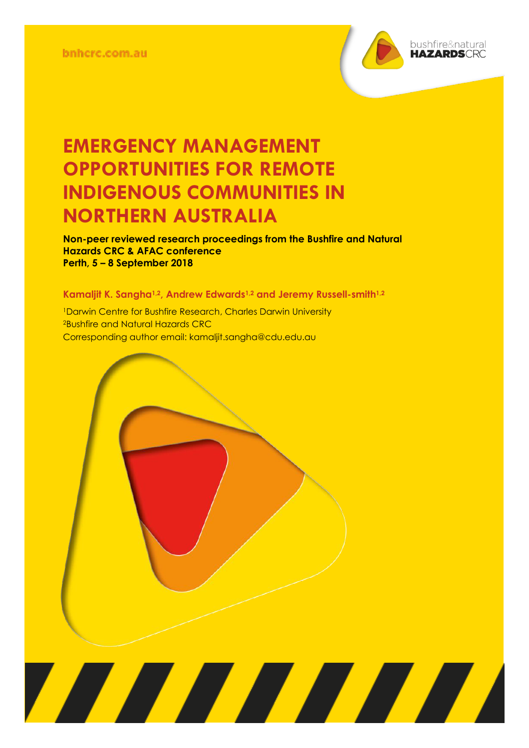

**Non-peer reviewed research proceedings from the Bushfire and Natural Hazards CRC & AFAC conference Perth, 5 – 8 September 2018**

**TANA MARIA MARIA PENDEFICIAL PERSONA DEL PERSONA DEL PERSONA DEL PERSONA DEL PERSONA DEL PERSONA DEL PERSONA** 

#### **Kamaljit K. Sangha1,2, Andrew Edwards1,2 and Jeremy Russell-smith1,2**

<sup>1</sup>Darwin Centre for Bushfire Research, Charles Darwin University <sup>2</sup>Bushfire and Natural Hazards CRC Corresponding author email: kamaljit.sangha@cdu.edu.au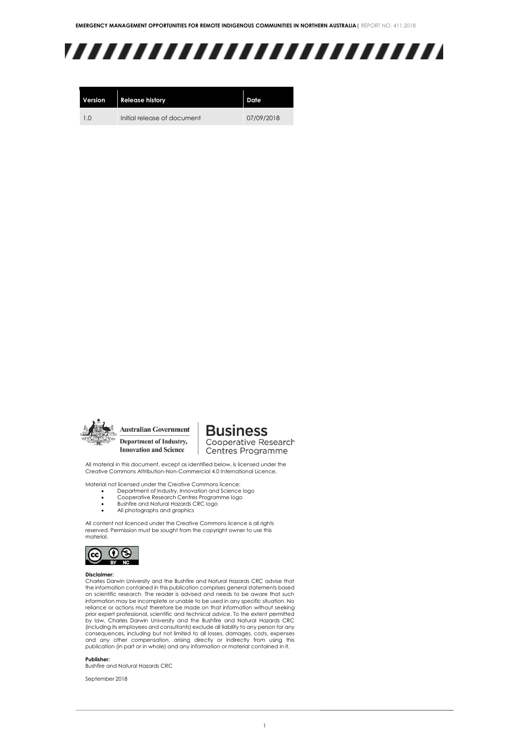## ,,,,,,,,,,,,,,,,,,,,,,,,,

| Version | <b>Release history</b>      | Date       |
|---------|-----------------------------|------------|
| 10      | Initial release of document | 07/09/2018 |



Department of Industry, **Innovation and Science** 

**Business** Cooperative Research Centres Programme

All material in this document, except as identified below, is licensed under the Creative Commons Attribution-Non-Commercial 4.0 International Licence.

Material not licensed under the Creative Commons licence:

- Department of Industry, Innovation and Science logo
- Cooperative Research Centres Programme logo Bushfire and Natural Hazards CRC logo
- All photographs and graphics

All content not licenced under the Creative Commons licence is all rights reserved. Permission must be sought from the copyright owner to use this material.



#### **Disclaimer:**

Charles Darwin University and the Bushfire and Natural Hazards CRC advise that the information contained in this publication comprises general statements based on scientific research. The reader is advised and needs to be aware that such information may be incomplete or unable to be used in any specific situation. No reliance or actions must therefore be made on that information without seeking prior expert professional, scientific and technical advice. To the extent permitted by law, Charles Darwin University and the Bushfire and Natural Hazards CRC (including its employees and consultants) exclude all liability to any person for any consequences, including but not limited to all losses, damages, costs, expenses and any other compensation, arising directly or indirectly from using this publication (in part or in whole) and any information or material contained in it.

#### **Publisher:**

Bushfire and Natural Hazards CRC

September 2018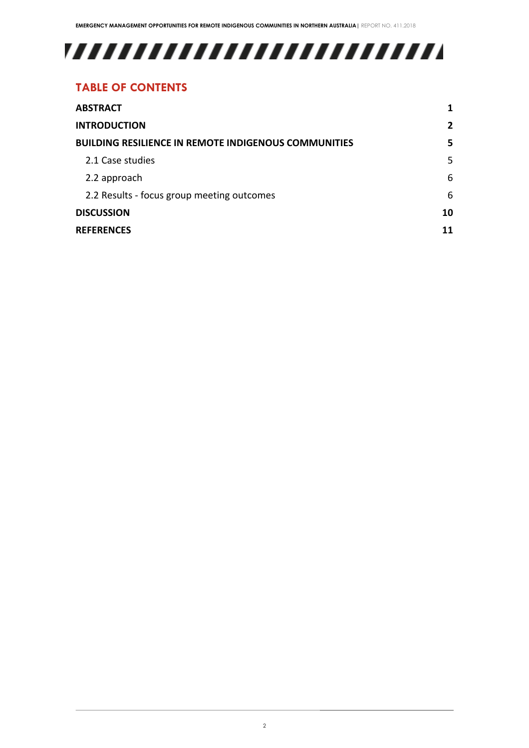# 

### **TABLE OF CONTENTS**

| <b>ABSTRACT</b>                                             |   |  |
|-------------------------------------------------------------|---|--|
| <b>INTRODUCTION</b>                                         | 2 |  |
| <b>BUILDING RESILIENCE IN REMOTE INDIGENOUS COMMUNITIES</b> |   |  |
| 2.1 Case studies                                            | 5 |  |
| 2.2 approach                                                | 6 |  |
| 2.2 Results - focus group meeting outcomes                  | 6 |  |
| <b>DISCUSSION</b>                                           |   |  |
| <b>REFERENCES</b>                                           |   |  |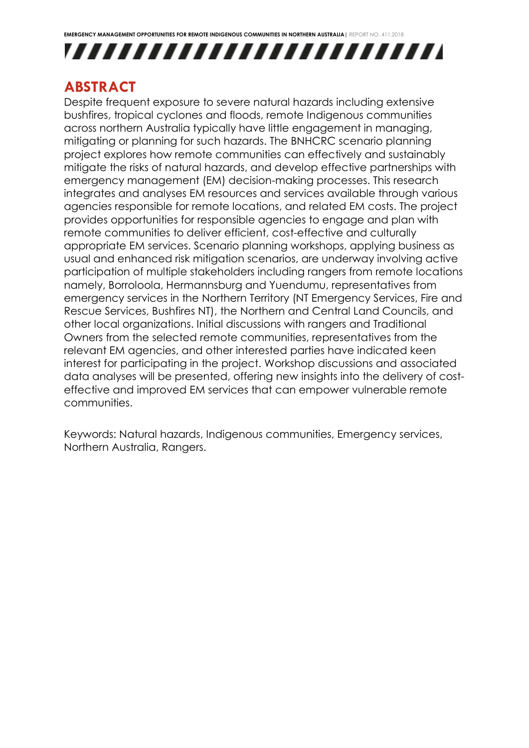



### <span id="page-3-0"></span>**ABSTRACT**

Despite frequent exposure to severe natural hazards including extensive bushfires, tropical cyclones and floods, remote Indigenous communities across northern Australia typically have little engagement in managing, mitigating or planning for such hazards. The BNHCRC scenario planning project explores how remote communities can effectively and sustainably mitigate the risks of natural hazards, and develop effective partnerships with emergency management (EM) decision-making processes. This research integrates and analyses EM resources and services available through various agencies responsible for remote locations, and related EM costs. The project provides opportunities for responsible agencies to engage and plan with remote communities to deliver efficient, cost-effective and culturally appropriate EM services. Scenario planning workshops, applying business as usual and enhanced risk mitigation scenarios, are underway involving active participation of multiple stakeholders including rangers from remote locations namely, Borroloola, Hermannsburg and Yuendumu, representatives from emergency services in the Northern Territory (NT Emergency Services, Fire and Rescue Services, Bushfires NT), the Northern and Central Land Councils, and other local organizations. Initial discussions with rangers and Traditional Owners from the selected remote communities, representatives from the relevant EM agencies, and other interested parties have indicated keen interest for participating in the project. Workshop discussions and associated data analyses will be presented, offering new insights into the delivery of costeffective and improved EM services that can empower vulnerable remote communities.

Keywords: Natural hazards, Indigenous communities, Emergency services, Northern Australia, Rangers.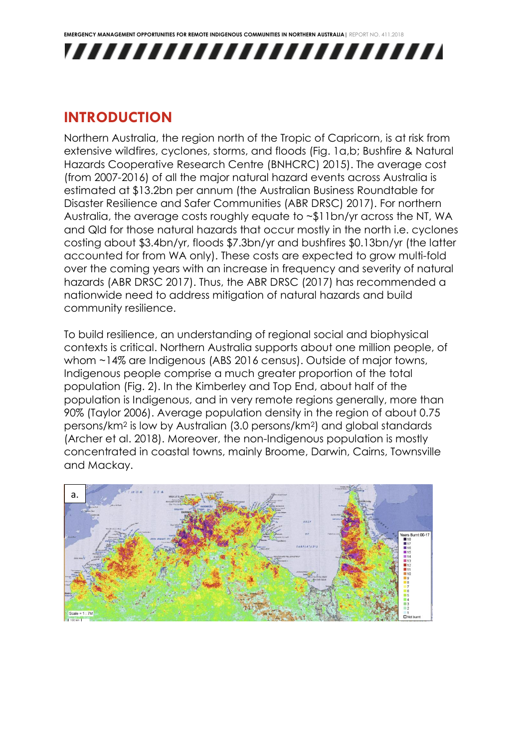

### <span id="page-4-0"></span>**INTRODUCTION**

Northern Australia, the region north of the Tropic of Capricorn, is at risk from extensive wildfires, cyclones, storms, and floods (Fig. 1a,b; Bushfire & Natural Hazards Cooperative Research Centre (BNHCRC) 2015). The average cost (from 2007-2016) of all the major natural hazard events across Australia is estimated at \$13.2bn per annum (the Australian Business Roundtable for Disaster Resilience and Safer Communities (ABR DRSC) 2017). For northern Australia, the average costs roughly equate to ~\$11bn/yr across the NT, WA and Qld for those natural hazards that occur mostly in the north i.e. cyclones costing about \$3.4bn/yr, floods \$7.3bn/yr and bushfires \$0.13bn/yr (the latter accounted for from WA only). These costs are expected to grow multi-fold over the coming years with an increase in frequency and severity of natural hazards (ABR DRSC 2017). Thus, the ABR DRSC (2017) has recommended a nationwide need to address mitigation of natural hazards and build community resilience.

To build resilience, an understanding of regional social and biophysical contexts is critical. Northern Australia supports about one million people, of whom ~14% are Indigenous (ABS 2016 census). Outside of major towns, Indigenous people comprise a much greater proportion of the total population (Fig. 2). In the Kimberley and Top End, about half of the population is Indigenous, and in very remote regions generally, more than 90% (Taylor 2006). Average population density in the region of about 0.75 persons/km<sup>2</sup> is low by Australian (3.0 persons/km2) and global standards (Archer et al. 2018). Moreover, the non-Indigenous population is mostly concentrated in coastal towns, mainly Broome, Darwin, Cairns, Townsville and Mackay.

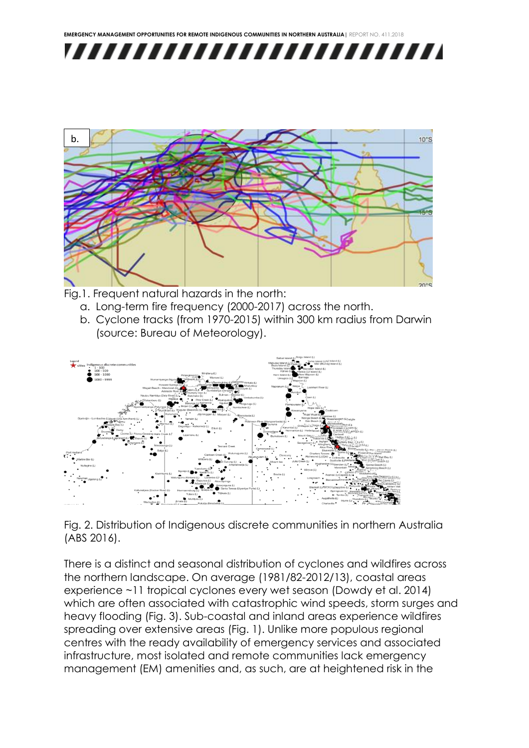



- Fig.1. Frequent natural hazards in the north:
	- a. Long-term fire frequency (2000-2017) across the north.
	- b. Cyclone tracks (from 1970-2015) within 300 km radius from Darwin (source: Bureau of Meteorology).



Fig. 2. Distribution of Indigenous discrete communities in northern Australia (ABS 2016).

There is a distinct and seasonal distribution of cyclones and wildfires across the northern landscape. On average (1981/82-2012/13), coastal areas experience ~11 tropical cyclones every wet season (Dowdy et al. 2014) which are often associated with catastrophic wind speeds, storm surges and heavy flooding (Fig. 3). Sub-coastal and inland areas experience wildfires spreading over extensive areas (Fig. 1). Unlike more populous regional centres with the ready availability of emergency services and associated infrastructure, most isolated and remote communities lack emergency management (EM) amenities and, as such, are at heightened risk in the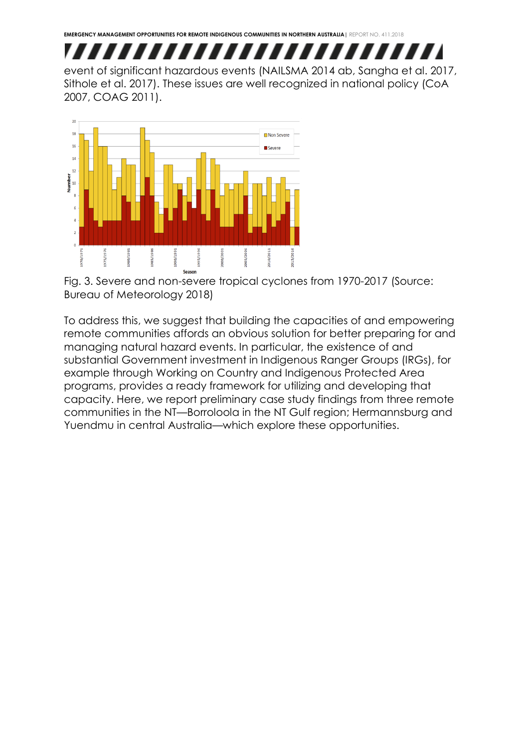

event of significant hazardous events (NAILSMA 2014 ab, Sangha et al. 2017, Sithole et al. 2017). These issues are well recognized in national policy (CoA 2007, COAG 2011).



Fig. 3. Severe and non-severe tropical cyclones from 1970-2017 (Source: Bureau of Meteorology 2018)

To address this, we suggest that building the capacities of and empowering remote communities affords an obvious solution for better preparing for and managing natural hazard events. In particular, the existence of and substantial Government investment in Indigenous Ranger Groups (IRGs), for example through Working on Country and Indigenous Protected Area programs, provides a ready framework for utilizing and developing that capacity. Here, we report preliminary case study findings from three remote communities in the NT—Borroloola in the NT Gulf region; Hermannsburg and Yuendmu in central Australia—which explore these opportunities.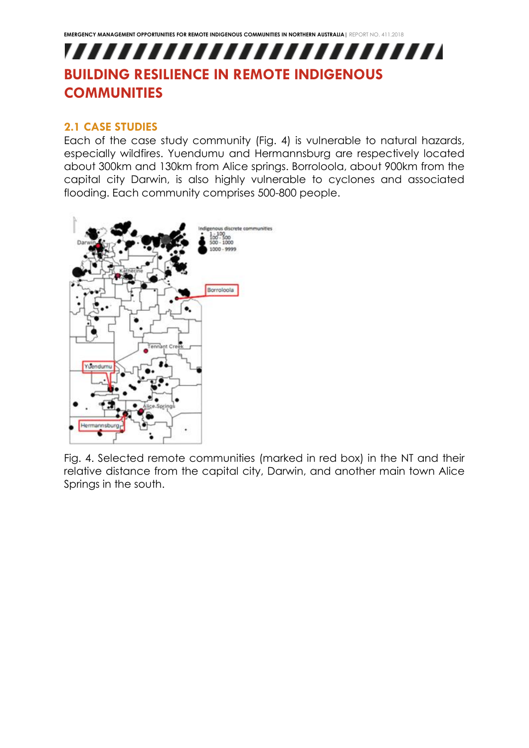## <span id="page-7-0"></span>,,,,,,,,,,,,,,,,,,,,,,,,, **BUILDING RESILIENCE IN REMOTE INDIGENOUS COMMUNITIES**

### <span id="page-7-1"></span>**2.1 CASE STUDIES**

Each of the case study community (Fig. 4) is vulnerable to natural hazards, especially wildfires. Yuendumu and Hermannsburg are respectively located about 300km and 130km from Alice springs. Borroloola, about 900km from the capital city Darwin, is also highly vulnerable to cyclones and associated flooding. Each community comprises 500-800 people.



Fig. 4. Selected remote communities (marked in red box) in the NT and their relative distance from the capital city, Darwin, and another main town Alice Springs in the south.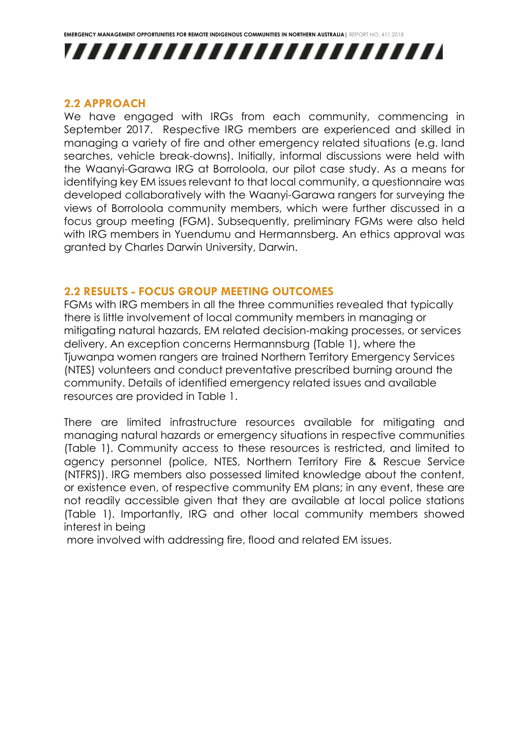



#### <span id="page-8-0"></span>**2.2 APPROACH**

We have engaged with IRGs from each community, commencing in September 2017. Respective IRG members are experienced and skilled in managing a variety of fire and other emergency related situations (e.g. land searches, vehicle break-downs). Initially, informal discussions were held with the Waanyi-Garawa IRG at Borroloola, our pilot case study. As a means for identifying key EM issues relevant to that local community, a questionnaire was developed collaboratively with the Waanyi-Garawa rangers for surveying the views of Borroloola community members, which were further discussed in a focus group meeting (FGM). Subsequently, preliminary FGMs were also held with IRG members in Yuendumu and Hermannsberg. An ethics approval was granted by Charles Darwin University, Darwin.

### <span id="page-8-1"></span>**2.2 RESULTS - FOCUS GROUP MEETING OUTCOMES**

FGMs with IRG members in all the three communities revealed that typically there is little involvement of local community members in managing or mitigating natural hazards, EM related decision-making processes, or services delivery. An exception concerns Hermannsburg (Table 1), where the Tjuwanpa women rangers are trained Northern Territory Emergency Services (NTES) volunteers and conduct preventative prescribed burning around the community. Details of identified emergency related issues and available resources are provided in Table 1.

There are limited infrastructure resources available for mitigating and managing natural hazards or emergency situations in respective communities (Table 1). Community access to these resources is restricted, and limited to agency personnel (police, NTES, Northern Territory Fire & Rescue Service (NTFRS)). IRG members also possessed limited knowledge about the content, or existence even, of respective community EM plans; in any event, these are not readily accessible given that they are available at local police stations (Table 1). Importantly, IRG and other local community members showed interest in being

more involved with addressing fire, flood and related EM issues.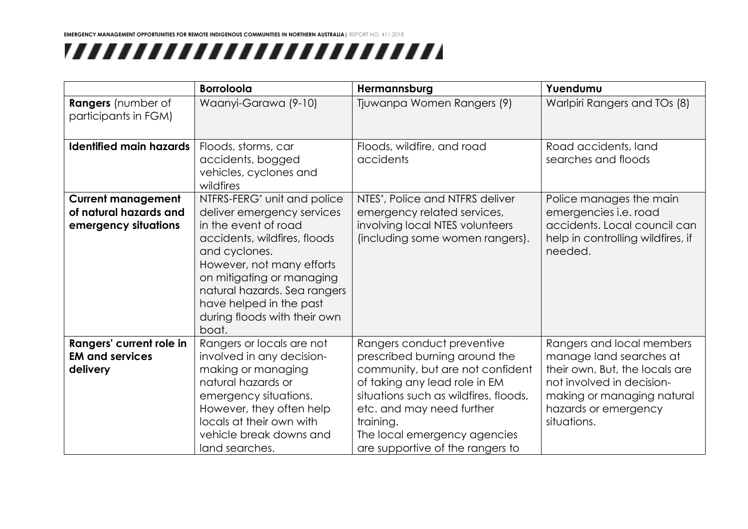## ,,,,,,,,,,,,,,,,,,,,,,,,,

|                                                                             | <b>Borroloola</b>                                                                                                                                                                                                                                                                                            | Hermannsburg                                                                                                                                                                                                                                                                            | Yuendumu                                                                                                                                                                                 |
|-----------------------------------------------------------------------------|--------------------------------------------------------------------------------------------------------------------------------------------------------------------------------------------------------------------------------------------------------------------------------------------------------------|-----------------------------------------------------------------------------------------------------------------------------------------------------------------------------------------------------------------------------------------------------------------------------------------|------------------------------------------------------------------------------------------------------------------------------------------------------------------------------------------|
| Rangers (number of<br>participants in FGM)                                  | Waanyi-Garawa (9-10)                                                                                                                                                                                                                                                                                         | Tjuwanpa Women Rangers (9)                                                                                                                                                                                                                                                              | Warlpiri Rangers and TOs (8)                                                                                                                                                             |
| <b>Identified main hazards</b>                                              | Floods, storms, car<br>accidents, bogged<br>vehicles, cyclones and<br>wildfires                                                                                                                                                                                                                              | Floods, wildfire, and road<br>accidents                                                                                                                                                                                                                                                 | Road accidents, land<br>searches and floods                                                                                                                                              |
| <b>Current management</b><br>of natural hazards and<br>emergency situations | NTFRS-FERG <sup>*</sup> unit and police<br>deliver emergency services<br>in the event of road<br>accidents, wildfires, floods<br>and cyclones.<br>However, not many efforts<br>on mitigating or managing<br>natural hazards. Sea rangers<br>have helped in the past<br>during floods with their own<br>boat. | NTES*, Police and NTFRS deliver<br>emergency related services,<br>involving local NTES volunteers<br>(including some women rangers).                                                                                                                                                    | Police manages the main<br>emergencies i.e. road<br>accidents. Local council can<br>help in controlling wildfires, if<br>needed.                                                         |
| Rangers' current role in<br><b>EM and services</b><br>delivery              | Rangers or locals are not<br>involved in any decision-<br>making or managing<br>natural hazards or<br>emergency situations.<br>However, they often help<br>locals at their own with<br>vehicle break downs and<br>land searches.                                                                             | Rangers conduct preventive<br>prescribed burning around the<br>community, but are not confident<br>of taking any lead role in EM<br>situations such as wildfires, floods,<br>etc. and may need further<br>training.<br>The local emergency agencies<br>are supportive of the rangers to | Rangers and local members<br>manage land searches at<br>their own. But, the locals are<br>not involved in decision-<br>making or managing natural<br>hazards or emergency<br>situations. |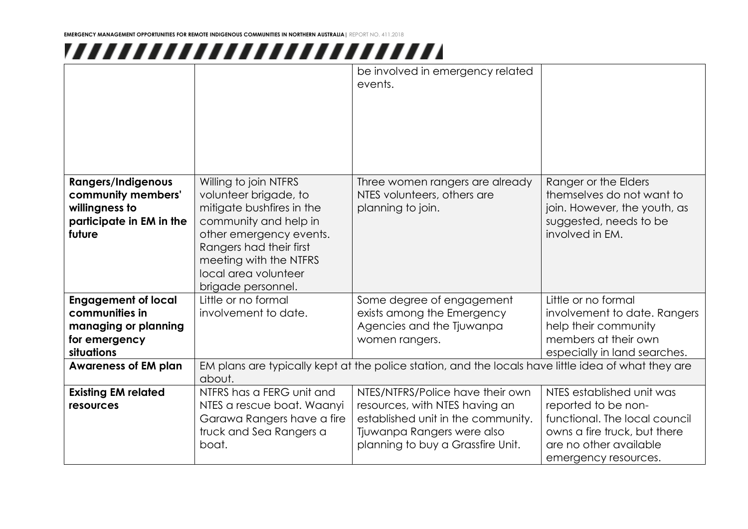## ,,,,,,,,,,,,,,,,,,,,,,,,,

|                                                                                                         |                                                                                                                                                                                                                                    | be involved in emergency related<br>events.                                                                                                                                 |                                                                                                                                                                     |  |
|---------------------------------------------------------------------------------------------------------|------------------------------------------------------------------------------------------------------------------------------------------------------------------------------------------------------------------------------------|-----------------------------------------------------------------------------------------------------------------------------------------------------------------------------|---------------------------------------------------------------------------------------------------------------------------------------------------------------------|--|
| <b>Rangers/Indigenous</b><br>community members'<br>willingness to<br>participate in EM in the<br>future | Willing to join NTFRS<br>volunteer brigade, to<br>mitigate bushfires in the<br>community and help in<br>other emergency events.<br>Rangers had their first<br>meeting with the NTFRS<br>local area volunteer<br>brigade personnel. | Three women rangers are already<br>NTES volunteers, others are<br>planning to join.                                                                                         | Ranger or the Elders<br>themselves do not want to<br>join. However, the youth, as<br>suggested, needs to be<br>involved in EM.                                      |  |
| <b>Engagement of local</b><br>communities in<br>managing or planning<br>for emergency<br>situations     | Little or no formal<br>involvement to date.                                                                                                                                                                                        | Some degree of engagement<br>exists among the Emergency<br>Agencies and the Tjuwanpa<br>women rangers.                                                                      | Little or no formal<br>involvement to date. Rangers<br>help their community<br>members at their own<br>especially in land searches.                                 |  |
| <b>Awareness of EM plan</b>                                                                             | EM plans are typically kept at the police station, and the locals have little idea of what they are<br>about.                                                                                                                      |                                                                                                                                                                             |                                                                                                                                                                     |  |
| <b>Existing EM related</b><br>resources                                                                 | NTFRS has a FERG unit and<br>NTES a rescue boat. Waanyi<br>Garawa Rangers have a fire<br>truck and Sea Rangers a<br>boat.                                                                                                          | NTES/NTFRS/Police have their own<br>resources, with NTES having an<br>established unit in the community.<br>Tjuwanpa Rangers were also<br>planning to buy a Grassfire Unit. | NTES established unit was<br>reported to be non-<br>functional. The local council<br>owns a fire truck, but there<br>are no other available<br>emergency resources. |  |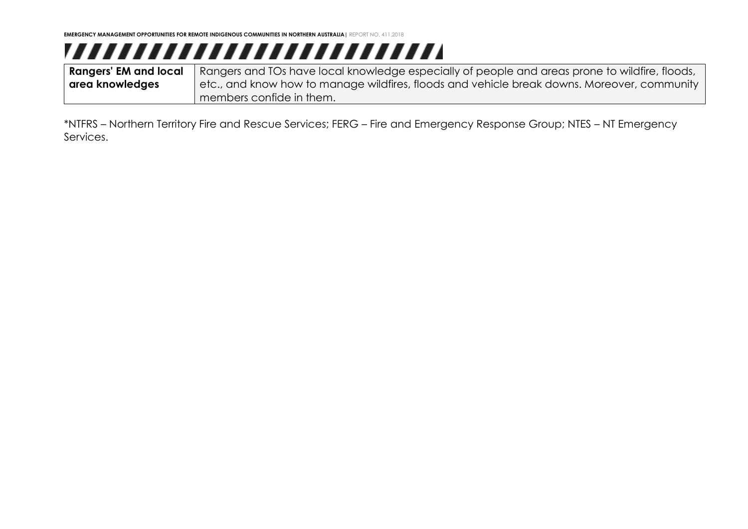# ,,,,,,,,,,,,,,,,,,,,,,,,,,

**Rangers' EM and local area knowledges** Rangers and TOs have local knowledge especially of people and areas prone to wildfire, floods, etc., and know how to manage wildfires, floods and vehicle break downs. Moreover, community members confide in them.

\*NTFRS – Northern Territory Fire and Rescue Services; FERG – Fire and Emergency Response Group; NTES – NT Emergency Services.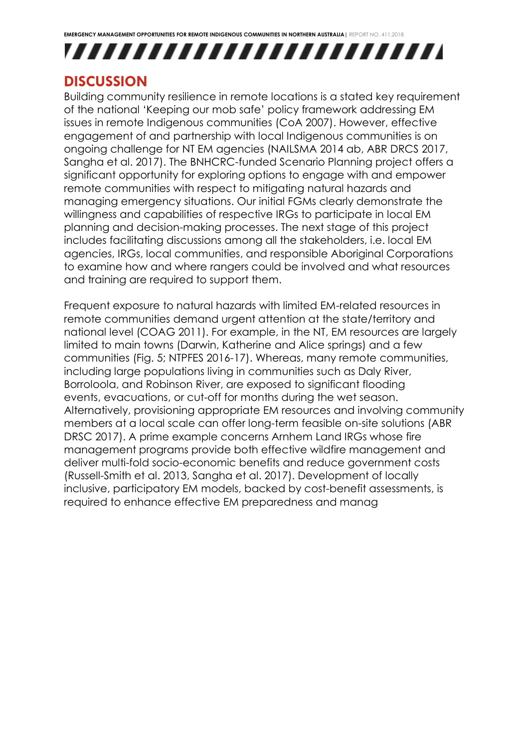



### <span id="page-12-0"></span>**DISCUSSION**

Building community resilience in remote locations is a stated key requirement of the national 'Keeping our mob safe' policy framework addressing EM issues in remote Indigenous communities (CoA 2007). However, effective engagement of and partnership with local Indigenous communities is on ongoing challenge for NT EM agencies (NAILSMA 2014 ab, ABR DRCS 2017, Sangha et al. 2017). The BNHCRC-funded Scenario Planning project offers a significant opportunity for exploring options to engage with and empower remote communities with respect to mitigating natural hazards and managing emergency situations. Our initial FGMs clearly demonstrate the willingness and capabilities of respective IRGs to participate in local EM planning and decision-making processes. The next stage of this project includes facilitating discussions among all the stakeholders, i.e. local EM agencies, IRGs, local communities, and responsible Aboriginal Corporations to examine how and where rangers could be involved and what resources and training are required to support them.

Frequent exposure to natural hazards with limited EM-related resources in remote communities demand urgent attention at the state/territory and national level (COAG 2011). For example, in the NT, EM resources are largely limited to main towns (Darwin, Katherine and Alice springs) and a few communities (Fig. 5; NTPFES 2016-17). Whereas, many remote communities, including large populations living in communities such as Daly River, Borroloola, and Robinson River, are exposed to significant flooding events, evacuations, or cut-off for months during the wet season. Alternatively, provisioning appropriate EM resources and involving community members at a local scale can offer long-term feasible on-site solutions (ABR DRSC 2017). A prime example concerns Arnhem Land IRGs whose fire management programs provide both effective wildfire management and deliver multi-fold socio-economic benefits and reduce government costs (Russell-Smith et al. 2013, Sangha et al. 2017). Development of locally inclusive, participatory EM models, backed by cost-benefit assessments, is required to enhance effective EM preparedness and manag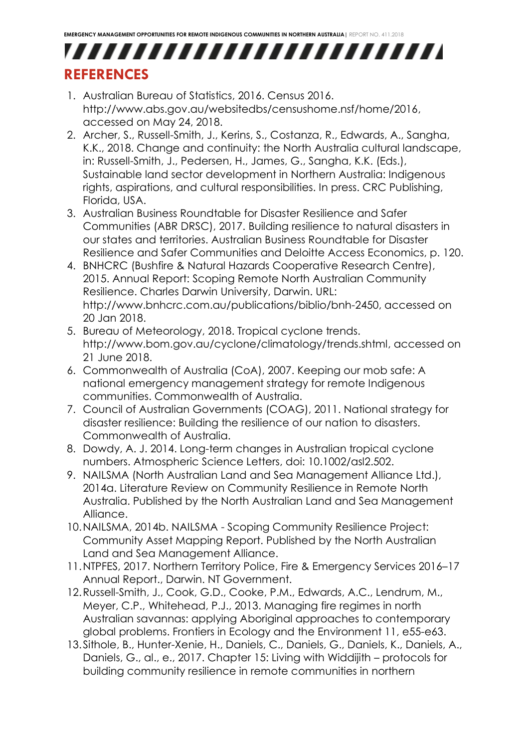### <span id="page-13-0"></span>,,,,,,,,,,,,,,,,,,,,,,,,, **REFERENCES**

- 1. Australian Bureau of Statistics, 2016. Census 2016. [http://www.abs.gov.au/websitedbs/censushome.nsf/home/2016,](http://www.abs.gov.au/websitedbs/censushome.nsf/home/2016) accessed on May 24, 2018.
- 2. Archer, S., Russell-Smith, J., Kerins, S., Costanza, R., Edwards, A., Sangha, K.K., 2018. Change and continuity: the North Australia cultural landscape, in: Russell-Smith, J., Pedersen, H., James, G., Sangha, K.K. (Eds.), Sustainable land sector development in Northern Australia: Indigenous rights, aspirations, and cultural responsibilities. In press. CRC Publishing, Florida, USA.
- 3. Australian Business Roundtable for Disaster Resilience and Safer Communities (ABR DRSC), 2017. Building resilience to natural disasters in our states and territories. Australian Business Roundtable for Disaster Resilience and Safer Communities and Deloitte Access Economics, p. 120.
- 4. BNHCRC (Bushfire & Natural Hazards Cooperative Research Centre), 2015. Annual Report: Scoping Remote North Australian Community Resilience. Charles Darwin University, Darwin. URL: http://www.bnhcrc.com.au/publications/biblio/bnh-2450, accessed on 20 Jan 2018.
- 5. Bureau of Meteorology, 2018. Tropical cyclone trends. [http://www.bom.gov.au/cyclone/climatology/trends.shtml,](http://www.bom.gov.au/cyclone/climatology/trends.shtml) accessed on 21 June 2018.
- 6. Commonwealth of Australia (CoA), 2007. Keeping our mob safe: A national emergency management strategy for remote Indigenous communities. Commonwealth of Australia.
- 7. Council of Australian Governments (COAG), 2011. National strategy for disaster resilience: Building the resilience of our nation to disasters. Commonwealth of Australia.
- 8. Dowdy, A. J. 2014. Long-term changes in Australian tropical cyclone numbers. Atmospheric Science Letters, doi: 10.1002/asl2.502.
- 9. NAILSMA (North Australian Land and Sea Management Alliance Ltd.), 2014a. Literature Review on Community Resilience in Remote North Australia. Published by the North Australian Land and Sea Management Alliance.
- 10.NAILSMA, 2014b. NAILSMA Scoping Community Resilience Project: Community Asset Mapping Report. Published by the North Australian Land and Sea Management Alliance.
- 11.NTPFES, 2017. Northern Territory Police, Fire & Emergency Services 2016–17 Annual Report., Darwin. NT Government.
- 12.Russell-Smith, J., Cook, G.D., Cooke, P.M., Edwards, A.C., Lendrum, M., Meyer, C.P., Whitehead, P.J., 2013. Managing fire regimes in north Australian savannas: applying Aboriginal approaches to contemporary global problems. Frontiers in Ecology and the Environment 11, e55-e63.
- 13.Sithole, B., Hunter-Xenie, H., Daniels, C., Daniels, G., Daniels, K., Daniels, A., Daniels, G., al., e., 2017. Chapter 15: Living with Widdijith – protocols for building community resilience in remote communities in northern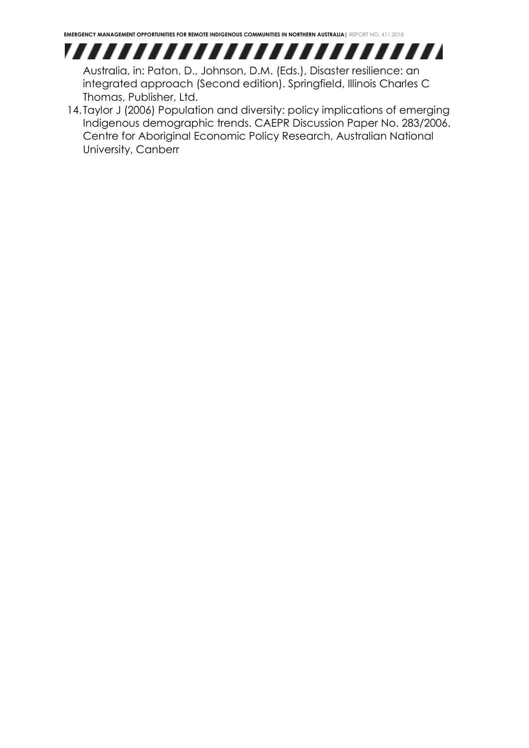

Australia, in: Paton, D., Johnson, D.M. (Eds.), Disaster resilience: an integrated approach (Second edition). Springfield, Illinois Charles C Thomas, Publisher, Ltd.

14. Taylor J (2006) Population and diversity: policy implications of emerging Indigenous demographic trends. CAEPR Discussion Paper No. 283/2006. Centre for Aboriginal Economic Policy Research, Australian National University, Canberr